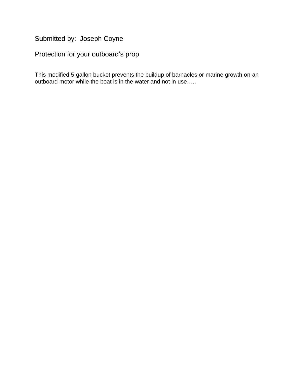Submitted by: Joseph Coyne

Protection for your outboard's prop

This modified 5-gallon bucket prevents the buildup of barnacles or marine growth on an outboard motor while the boat is in the water and not in use…..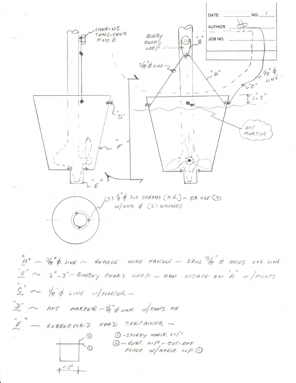